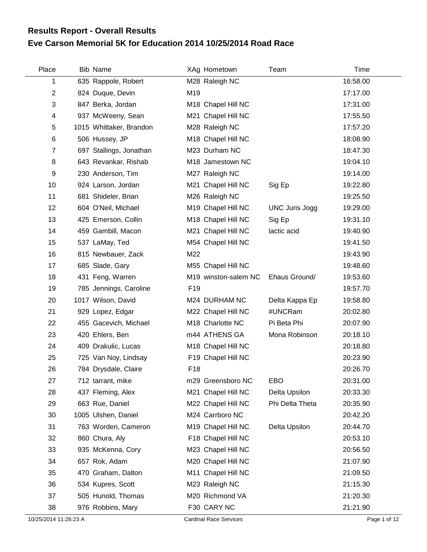## **Eve Carson Memorial 5K for Education 2014 10/25/2014 Road Race Results Report - Overall Results**

| Place | Bib Name                |                 | XAg Hometown         | Team                  | Time     |
|-------|-------------------------|-----------------|----------------------|-----------------------|----------|
| 1     | 635 Rappole, Robert     |                 | M28 Raleigh NC       |                       | 16:58.00 |
| 2     | 824 Duque, Devin        | M19             |                      |                       | 17:17.00 |
| 3     | 847 Berka, Jordan       |                 | M18 Chapel Hill NC   |                       | 17:31.00 |
| 4     | 937 McWeeny, Sean       |                 | M21 Chapel Hill NC   |                       | 17:55.50 |
| 5     | 1015 Whittaker, Brandon |                 | M28 Raleigh NC       |                       | 17:57.20 |
| 6     | 506 Hussey, JP          |                 | M18 Chapel Hill NC   |                       | 18:08.90 |
| 7     | 697 Stallings, Jonathan |                 | M23 Durham NC        |                       | 18:47.30 |
| 8     | 643 Revankar, Rishab    |                 | M18 Jamestown NC     |                       | 19:04.10 |
| 9     | 230 Anderson, Tim       |                 | M27 Raleigh NC       |                       | 19:14.00 |
| 10    | 924 Larson, Jordan      |                 | M21 Chapel Hill NC   | Sig Ep                | 19:22.80 |
| 11    | 681 Shideler, Brian     |                 | M26 Raleigh NC       |                       | 19:25.50 |
| 12    | 604 O'Neil, Michael     |                 | M19 Chapel Hill NC   | <b>UNC Juris Jogg</b> | 19:29.00 |
| 13    | 425 Emerson, Collin     |                 | M18 Chapel Hill NC   | Sig Ep                | 19:31.10 |
| 14    | 459 Gambill, Macon      |                 | M21 Chapel Hill NC   | lactic acid           | 19:40.90 |
| 15    | 537 LaMay, Ted          |                 | M54 Chapel Hill NC   |                       | 19:41.50 |
| 16    | 815 Newbauer, Zack      | M22             |                      |                       | 19:43.90 |
| 17    | 685 Slade, Gary         |                 | M55 Chapel Hill NC   |                       | 19:48.60 |
| 18    | 431 Feng, Warren        |                 | M19 winston-salem NC | Ehaus Ground/         | 19:53.60 |
| 19    | 785 Jennings, Caroline  | F <sub>19</sub> |                      |                       | 19:57.70 |
| 20    | 1017 Wilson, David      |                 | M24 DURHAM NC        | Delta Kappa Ep        | 19:58.80 |
| 21    | 929 Lopez, Edgar        |                 | M22 Chapel Hill NC   | #UNCRam               | 20:02.80 |
| 22    | 455 Gacevich, Michael   |                 | M18 Charlotte NC     | Pi Beta Phi           | 20:07.90 |
| 23    | 420 Ehlers, Ben         |                 | m44 ATHENS GA        | Mona Robinson         | 20:18.10 |
| 24    | 409 Drakulic, Lucas     |                 | M18 Chapel Hill NC   |                       | 20:18.80 |
| 25    | 725 Van Noy, Lindsay    |                 | F19 Chapel Hill NC   |                       | 20:23.90 |
| 26    | 784 Drysdale, Claire    | F <sub>18</sub> |                      |                       | 20:26.70 |
| 27    | 712 tarrant, mike       |                 | m29 Greensboro NC    | EBO                   | 20:31.00 |
| 28    | 437 Fleming, Alex       |                 | M21 Chapel Hill NC   | Delta Upsilon         | 20:33.30 |
| 29    | 663 Rue, Daniel         |                 | M22 Chapel Hill NC   | Phi Delta Theta       | 20:35.90 |
| 30    | 1005 Ulshen, Daniel     |                 | M24 Carrboro NC      |                       | 20:42.20 |
| 31    | 763 Worden, Cameron     |                 | M19 Chapel Hill NC   | Delta Upsilon         | 20:44.70 |
| 32    | 860 Chura, Aly          |                 | F18 Chapel Hill NC   |                       | 20:53.10 |
| 33    | 935 McKenna, Cory       |                 | M23 Chapel Hill NC   |                       | 20:56.50 |
| 34    | 657 Rok, Adam           |                 | M20 Chapel Hill NC   |                       | 21:07.90 |
| 35    | 470 Graham, Dalton      |                 | M11 Chapel Hill NC   |                       | 21:09.50 |
| 36    | 534 Kupres, Scott       |                 | M23 Raleigh NC       |                       | 21:15.30 |
| 37    | 505 Hunold, Thomas      |                 | M20 Richmond VA      |                       | 21:20.30 |
| 38    | 976 Robbins, Mary       |                 | F30 CARY NC          |                       | 21:21.90 |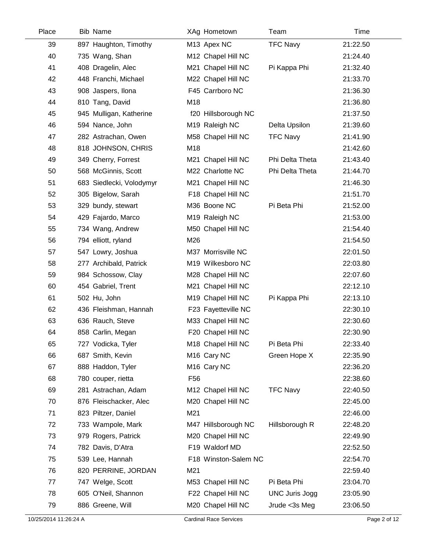| Place | <b>Bib Name</b>          |                 | XAg Hometown            | Team                  | Time     |
|-------|--------------------------|-----------------|-------------------------|-----------------------|----------|
| 39    | 897 Haughton, Timothy    |                 | M13 Apex NC             | <b>TFC Navy</b>       | 21:22.50 |
| 40    | 735 Wang, Shan           |                 | M12 Chapel Hill NC      |                       | 21:24.40 |
| 41    | 408 Dragelin, Alec       |                 | M21 Chapel Hill NC      | Pi Kappa Phi          | 21:32.40 |
| 42    | 448 Franchi, Michael     |                 | M22 Chapel Hill NC      |                       | 21:33.70 |
| 43    | 908 Jaspers, Ilona       |                 | F45 Carrboro NC         |                       | 21:36.30 |
| 44    | 810 Tang, David          | M18             |                         |                       | 21:36.80 |
| 45    | 945 Mulligan, Katherine  |                 | f20 Hillsborough NC     |                       | 21:37.50 |
| 46    | 594 Nance, John          |                 | M19 Raleigh NC          | Delta Upsilon         | 21:39.60 |
| 47    | 282 Astrachan, Owen      |                 | M58 Chapel Hill NC      | <b>TFC Navy</b>       | 21:41.90 |
| 48    | 818 JOHNSON, CHRIS       | M18             |                         |                       | 21:42.60 |
| 49    | 349 Cherry, Forrest      |                 | M21 Chapel Hill NC      | Phi Delta Theta       | 21:43.40 |
| 50    | 568 McGinnis, Scott      |                 | M22 Charlotte NC        | Phi Delta Theta       | 21:44.70 |
| 51    | 683 Siedlecki, Volodymyr |                 | M21 Chapel Hill NC      |                       | 21:46.30 |
| 52    | 305 Bigelow, Sarah       |                 | F18 Chapel Hill NC      |                       | 21:51.70 |
| 53    | 329 bundy, stewart       |                 | M36 Boone NC            | Pi Beta Phi           | 21:52.00 |
| 54    | 429 Fajardo, Marco       |                 | M19 Raleigh NC          |                       | 21:53.00 |
| 55    | 734 Wang, Andrew         |                 | M50 Chapel Hill NC      |                       | 21:54.40 |
| 56    | 794 elliott, ryland      | M26             |                         |                       | 21:54.50 |
| 57    | 547 Lowry, Joshua        |                 | M37 Morrisville NC      |                       | 22:01.50 |
| 58    | 277 Archibald, Patrick   |                 | M19 Wilkesboro NC       |                       | 22:03.80 |
| 59    | 984 Schossow, Clay       |                 | M28 Chapel Hill NC      |                       | 22:07.60 |
| 60    | 454 Gabriel, Trent       |                 | M21 Chapel Hill NC      |                       | 22:12.10 |
| 61    | 502 Hu, John             |                 | M19 Chapel Hill NC      | Pi Kappa Phi          | 22:13.10 |
| 62    | 436 Fleishman, Hannah    |                 | F23 Fayetteville NC     |                       | 22:30.10 |
| 63    | 636 Rauch, Steve         |                 | M33 Chapel Hill NC      |                       | 22:30.60 |
| 64    | 858 Carlin, Megan        |                 | F20 Chapel Hill NC      |                       | 22:30.90 |
| 65    | 727 Vodicka, Tyler       |                 | M18 Chapel Hill NC      | Pi Beta Phi           | 22:33.40 |
| 66    | 687 Smith, Kevin         |                 | M <sub>16</sub> Cary NC | Green Hope X          | 22:35.90 |
| 67    | 888 Haddon, Tyler        |                 | M <sub>16</sub> Cary NC |                       | 22:36.20 |
| 68    | 780 couper, rietta       | F <sub>56</sub> |                         |                       | 22:38.60 |
| 69    | 281 Astrachan, Adam      |                 | M12 Chapel Hill NC      | <b>TFC Navy</b>       | 22:40.50 |
| 70    | 876 Fleischacker, Alec   |                 | M20 Chapel Hill NC      |                       | 22:45.00 |
| 71    | 823 Piltzer, Daniel      | M21             |                         |                       | 22:46.00 |
| 72    | 733 Wampole, Mark        |                 | M47 Hillsborough NC     | Hillsborough R        | 22:48.20 |
| 73    | 979 Rogers, Patrick      |                 | M20 Chapel Hill NC      |                       | 22:49.90 |
| 74    | 782 Davis, D'Atra        |                 | F19 Waldorf MD          |                       | 22:52.50 |
| 75    | 539 Lee, Hannah          |                 | F18 Winston-Salem NC    |                       | 22:54.70 |
| 76    | 820 PERRINE, JORDAN      | M21             |                         |                       | 22:59.40 |
| 77    | 747 Welge, Scott         |                 | M53 Chapel Hill NC      | Pi Beta Phi           | 23:04.70 |
| 78    | 605 O'Neil, Shannon      |                 | F22 Chapel Hill NC      | <b>UNC Juris Jogg</b> | 23:05.90 |
| 79    | 886 Greene, Will         |                 | M20 Chapel Hill NC      | Jrude <3s Meg         | 23:06.50 |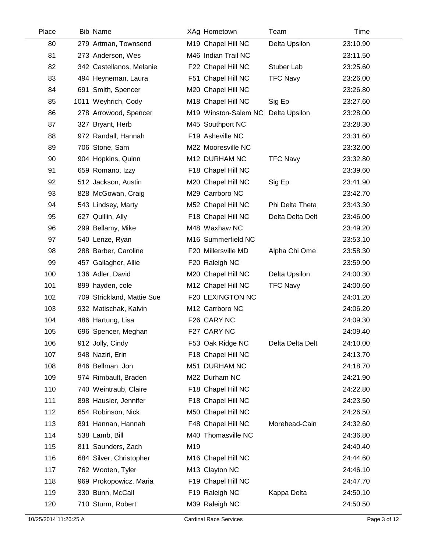| Place | <b>Bib Name</b>            |     | XAg Hometown         | Team             | Time     |  |
|-------|----------------------------|-----|----------------------|------------------|----------|--|
| 80    | 279 Artman, Townsend       |     | M19 Chapel Hill NC   | Delta Upsilon    | 23:10.90 |  |
| 81    | 273 Anderson, Wes          |     | M46 Indian Trail NC  |                  | 23:11.50 |  |
| 82    | 342 Castellanos, Melanie   |     | F22 Chapel Hill NC   | Stuber Lab       | 23:25.60 |  |
| 83    | 494 Heyneman, Laura        |     | F51 Chapel Hill NC   | <b>TFC Navy</b>  | 23:26.00 |  |
| 84    | 691 Smith, Spencer         |     | M20 Chapel Hill NC   |                  | 23:26.80 |  |
| 85    | 1011 Weyhrich, Cody        |     | M18 Chapel Hill NC   | Sig Ep           | 23:27.60 |  |
| 86    | 278 Arrowood, Spencer      |     | M19 Winston-Salem NC | Delta Upsilon    | 23:28.00 |  |
| 87    | 327 Bryant, Herb           |     | M45 Southport NC     |                  | 23:28.30 |  |
| 88    | 972 Randall, Hannah        |     | F19 Asheville NC     |                  | 23:31.60 |  |
| 89    | 706 Stone, Sam             |     | M22 Mooresville NC   |                  | 23:32.00 |  |
| 90    | 904 Hopkins, Quinn         |     | M12 DURHAM NC        | <b>TFC Navy</b>  | 23:32.80 |  |
| 91    | 659 Romano, Izzy           |     | F18 Chapel Hill NC   |                  | 23:39.60 |  |
| 92    | 512 Jackson, Austin        |     | M20 Chapel Hill NC   | Sig Ep           | 23:41.90 |  |
| 93    | 828 McGowan, Craig         |     | M29 Carrboro NC      |                  | 23:42.70 |  |
| 94    | 543 Lindsey, Marty         |     | M52 Chapel Hill NC   | Phi Delta Theta  | 23:43.30 |  |
| 95    | 627 Quillin, Ally          |     | F18 Chapel Hill NC   | Delta Delta Delt | 23:46.00 |  |
| 96    | 299 Bellamy, Mike          |     | M48 Waxhaw NC        |                  | 23:49.20 |  |
| 97    | 540 Lenze, Ryan            |     | M16 Summerfield NC   |                  | 23:53.10 |  |
| 98    | 288 Barber, Caroline       |     | F20 Millersville MD  | Alpha Chi Ome    | 23:58.30 |  |
| 99    | 457 Gallagher, Allie       |     | F20 Raleigh NC       |                  | 23:59.90 |  |
| 100   | 136 Adler, David           |     | M20 Chapel Hill NC   | Delta Upsilon    | 24:00.30 |  |
| 101   | 899 hayden, cole           |     | M12 Chapel Hill NC   | <b>TFC Navy</b>  | 24:00.60 |  |
| 102   | 709 Strickland, Mattie Sue |     | F20 LEXINGTON NC     |                  | 24:01.20 |  |
| 103   | 932 Matischak, Kalvin      |     | M12 Carrboro NC      |                  | 24:06.20 |  |
| 104   | 486 Hartung, Lisa          |     | F26 CARY NC          |                  | 24:09.30 |  |
| 105   | 696 Spencer, Meghan        |     | F27 CARY NC          |                  | 24:09.40 |  |
| 106   | 912 Jolly, Cindy           |     | F53 Oak Ridge NC     | Delta Delta Delt | 24:10.00 |  |
| 107   | 948 Naziri, Erin           |     | F18 Chapel Hill NC   |                  | 24:13.70 |  |
| 108   | 846 Bellman, Jon           |     | M51 DURHAM NC        |                  | 24:18.70 |  |
| 109   | 974 Rimbault, Braden       |     | M22 Durham NC        |                  | 24:21.90 |  |
| 110   | 740 Weintraub, Claire      |     | F18 Chapel Hill NC   |                  | 24:22.80 |  |
| 111   | 898 Hausler, Jennifer      |     | F18 Chapel Hill NC   |                  | 24:23.50 |  |
| 112   | 654 Robinson, Nick         |     | M50 Chapel Hill NC   |                  | 24:26.50 |  |
| 113   | 891 Hannan, Hannah         |     | F48 Chapel Hill NC   | Morehead-Cain    | 24:32.60 |  |
| 114   | 538 Lamb, Bill             |     | M40 Thomasville NC   |                  | 24:36.80 |  |
| 115   | 811 Saunders, Zach         | M19 |                      |                  | 24:40.40 |  |
| 116   | 684 Silver, Christopher    |     | M16 Chapel Hill NC   |                  | 24:44.60 |  |
| 117   | 762 Wooten, Tyler          |     | M13 Clayton NC       |                  | 24:46.10 |  |
| 118   | 969 Prokopowicz, Maria     |     | F19 Chapel Hill NC   |                  | 24:47.70 |  |
| 119   | 330 Bunn, McCall           |     | F19 Raleigh NC       | Kappa Delta      | 24:50.10 |  |
| 120   | 710 Sturm, Robert          |     | M39 Raleigh NC       |                  | 24:50.50 |  |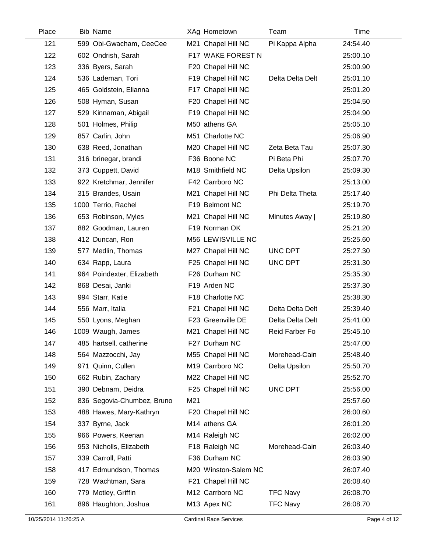| Place | <b>Bib Name</b>            |     | XAg Hometown         | Team             | Time     |
|-------|----------------------------|-----|----------------------|------------------|----------|
| 121   | 599 Obi-Gwacham, CeeCee    |     | M21 Chapel Hill NC   | Pi Kappa Alpha   | 24:54.40 |
| 122   | 602 Ondrish, Sarah         |     | F17 WAKE FOREST N    |                  | 25:00.10 |
| 123   | 336 Byers, Sarah           |     | F20 Chapel Hill NC   |                  | 25:00.90 |
| 124   | 536 Lademan, Tori          |     | F19 Chapel Hill NC   | Delta Delta Delt | 25:01.10 |
| 125   | 465 Goldstein, Elianna     |     | F17 Chapel Hill NC   |                  | 25:01.20 |
| 126   | 508 Hyman, Susan           |     | F20 Chapel Hill NC   |                  | 25:04.50 |
| 127   | 529 Kinnaman, Abigail      |     | F19 Chapel Hill NC   |                  | 25:04.90 |
| 128   | 501 Holmes, Philip         |     | M50 athens GA        |                  | 25:05.10 |
| 129   | 857 Carlin, John           |     | M51 Charlotte NC     |                  | 25:06.90 |
| 130   | 638 Reed, Jonathan         |     | M20 Chapel Hill NC   | Zeta Beta Tau    | 25:07.30 |
| 131   | 316 brinegar, brandi       |     | F36 Boone NC         | Pi Beta Phi      | 25:07.70 |
| 132   | 373 Cuppett, David         |     | M18 Smithfield NC    | Delta Upsilon    | 25:09.30 |
| 133   | 922 Kretchmar, Jennifer    |     | F42 Carrboro NC      |                  | 25:13.00 |
| 134   | 315 Brandes, Usain         |     | M21 Chapel Hill NC   | Phi Delta Theta  | 25:17.40 |
| 135   | 1000 Terrio, Rachel        |     | F19 Belmont NC       |                  | 25:19.70 |
| 136   | 653 Robinson, Myles        |     | M21 Chapel Hill NC   | Minutes Away     | 25:19.80 |
| 137   | 882 Goodman, Lauren        |     | F19 Norman OK        |                  | 25:21.20 |
| 138   | 412 Duncan, Ron            |     | M56 LEWISVILLE NC    |                  | 25:25.60 |
| 139   | 577 Medlin, Thomas         |     | M27 Chapel Hill NC   | UNC DPT          | 25:27.30 |
| 140   | 634 Rapp, Laura            |     | F25 Chapel Hill NC   | UNC DPT          | 25:31.30 |
| 141   | 964 Poindexter, Elizabeth  |     | F26 Durham NC        |                  | 25:35.30 |
| 142   | 868 Desai, Janki           |     | F19 Arden NC         |                  | 25:37.30 |
| 143   | 994 Starr, Katie           |     | F18 Charlotte NC     |                  | 25:38.30 |
| 144   | 556 Marr, Italia           |     | F21 Chapel Hill NC   | Delta Delta Delt | 25:39.40 |
| 145   | 550 Lyons, Meghan          |     | F23 Greenville DE    | Delta Delta Delt | 25:41.00 |
| 146   | 1009 Waugh, James          |     | M21 Chapel Hill NC   | Reid Farber Fo   | 25:45.10 |
| 147   | 485 hartsell, catherine    |     | F27 Durham NC        |                  | 25:47.00 |
| 148   | 564 Mazzocchi, Jay         |     | M55 Chapel Hill NC   | Morehead-Cain    | 25:48.40 |
| 149   | 971 Quinn, Cullen          |     | M19 Carrboro NC      | Delta Upsilon    | 25:50.70 |
| 150   | 662 Rubin, Zachary         |     | M22 Chapel Hill NC   |                  | 25:52.70 |
| 151   | 390 Debnam, Deidra         |     | F25 Chapel Hill NC   | UNC DPT          | 25:56.00 |
| 152   | 836 Segovia-Chumbez, Bruno | M21 |                      |                  | 25:57.60 |
| 153   | 488 Hawes, Mary-Kathryn    |     | F20 Chapel Hill NC   |                  | 26:00.60 |
| 154   | 337 Byrne, Jack            |     | M14 athens GA        |                  | 26:01.20 |
| 155   | 966 Powers, Keenan         |     | M14 Raleigh NC       |                  | 26:02.00 |
| 156   | 953 Nicholls, Elizabeth    |     | F18 Raleigh NC       | Morehead-Cain    | 26:03.40 |
| 157   | 339 Carroll, Patti         |     | F36 Durham NC        |                  | 26:03.90 |
| 158   | 417 Edmundson, Thomas      |     | M20 Winston-Salem NC |                  | 26:07.40 |
| 159   | 728 Wachtman, Sara         |     | F21 Chapel Hill NC   |                  | 26:08.40 |
| 160   | 779 Motley, Griffin        |     | M12 Carrboro NC      | <b>TFC Navy</b>  | 26:08.70 |
| 161   | 896 Haughton, Joshua       |     | M13 Apex NC          | <b>TFC Navy</b>  | 26:08.70 |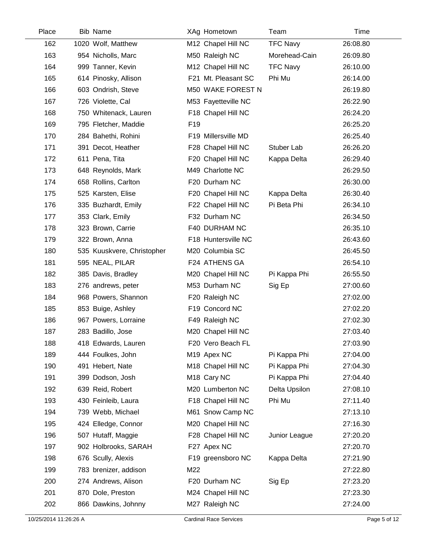| Place | <b>Bib Name</b>            |                 | XAg Hometown            | Team            | Time     |
|-------|----------------------------|-----------------|-------------------------|-----------------|----------|
| 162   | 1020 Wolf, Matthew         |                 | M12 Chapel Hill NC      | <b>TFC Navy</b> | 26:08.80 |
| 163   | 954 Nicholls, Marc         |                 | M50 Raleigh NC          | Morehead-Cain   | 26:09.80 |
| 164   | 999 Tanner, Kevin          |                 | M12 Chapel Hill NC      | <b>TFC Navy</b> | 26:10.00 |
| 165   | 614 Pinosky, Allison       |                 | F21 Mt. Pleasant SC     | Phi Mu          | 26:14.00 |
| 166   | 603 Ondrish, Steve         |                 | M50 WAKE FOREST N       |                 | 26:19.80 |
| 167   | 726 Violette, Cal          |                 | M53 Fayetteville NC     |                 | 26:22.90 |
| 168   | 750 Whitenack, Lauren      |                 | F18 Chapel Hill NC      |                 | 26:24.20 |
| 169   | 795 Fletcher, Maddie       | F <sub>19</sub> |                         |                 | 26:25.20 |
| 170   | 284 Bahethi, Rohini        |                 | F19 Millersville MD     |                 | 26:25.40 |
| 171   | 391 Decot, Heather         |                 | F28 Chapel Hill NC      | Stuber Lab      | 26:26.20 |
| 172   | 611 Pena, Tita             |                 | F20 Chapel Hill NC      | Kappa Delta     | 26:29.40 |
| 173   | 648 Reynolds, Mark         |                 | M49 Charlotte NC        |                 | 26:29.50 |
| 174   | 658 Rollins, Carlton       |                 | F20 Durham NC           |                 | 26:30.00 |
| 175   | 525 Karsten, Elise         |                 | F20 Chapel Hill NC      | Kappa Delta     | 26:30.40 |
| 176   | 335 Buzhardt, Emily        |                 | F22 Chapel Hill NC      | Pi Beta Phi     | 26:34.10 |
| 177   | 353 Clark, Emily           |                 | F32 Durham NC           |                 | 26:34.50 |
| 178   | 323 Brown, Carrie          |                 | F40 DURHAM NC           |                 | 26:35.10 |
| 179   | 322 Brown, Anna            |                 | F18 Huntersville NC     |                 | 26:43.60 |
| 180   | 535 Kuuskvere, Christopher |                 | M20 Columbia SC         |                 | 26:45.50 |
| 181   | 595 NEAL, PILAR            |                 | F24 ATHENS GA           |                 | 26:54.10 |
| 182   | 385 Davis, Bradley         |                 | M20 Chapel Hill NC      | Pi Kappa Phi    | 26:55.50 |
| 183   | 276 andrews, peter         |                 | M53 Durham NC           | Sig Ep          | 27:00.60 |
| 184   | 968 Powers, Shannon        |                 | F20 Raleigh NC          |                 | 27:02.00 |
| 185   | 853 Buige, Ashley          |                 | F19 Concord NC          |                 | 27:02.20 |
| 186   | 967 Powers, Lorraine       |                 | F49 Raleigh NC          |                 | 27:02.30 |
| 187   | 283 Badillo, Jose          |                 | M20 Chapel Hill NC      |                 | 27:03.40 |
| 188   | 418 Edwards, Lauren        |                 | F20 Vero Beach FL       |                 | 27:03.90 |
| 189   | 444 Foulkes, John          |                 | M <sub>19</sub> Apex NC | Pi Kappa Phi    | 27:04.00 |
| 190   | 491 Hebert, Nate           |                 | M18 Chapel Hill NC      | Pi Kappa Phi    | 27:04.30 |
| 191   | 399 Dodson, Josh           |                 | M <sub>18</sub> Cary NC | Pi Kappa Phi    | 27:04.40 |
| 192   | 639 Reid, Robert           |                 | M20 Lumberton NC        | Delta Upsilon   | 27:08.10 |
| 193   | 430 Feinleib, Laura        |                 | F18 Chapel Hill NC      | Phi Mu          | 27:11.40 |
| 194   | 739 Webb, Michael          |                 | M61 Snow Camp NC        |                 | 27:13.10 |
| 195   | 424 Elledge, Connor        |                 | M20 Chapel Hill NC      |                 | 27:16.30 |
| 196   | 507 Hutaff, Maggie         |                 | F28 Chapel Hill NC      | Junior League   | 27:20.20 |
| 197   | 902 Holbrooks, SARAH       |                 | F27 Apex NC             |                 | 27:20.70 |
| 198   | 676 Scully, Alexis         |                 | F19 greensboro NC       | Kappa Delta     | 27:21.90 |
| 199   | 783 brenizer, addison      | M22             |                         |                 | 27:22.80 |
| 200   | 274 Andrews, Alison        |                 | F20 Durham NC           | Sig Ep          | 27:23.20 |
| 201   | 870 Dole, Preston          |                 | M24 Chapel Hill NC      |                 | 27:23.30 |
| 202   | 866 Dawkins, Johnny        |                 | M27 Raleigh NC          |                 | 27:24.00 |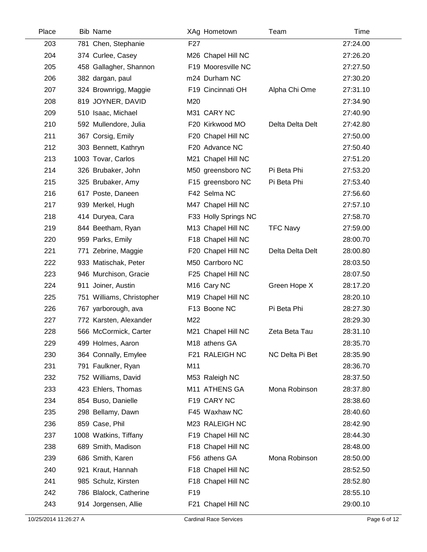| Place | <b>Bib Name</b>           |                 | XAg Hometown            | Team             | Time     |
|-------|---------------------------|-----------------|-------------------------|------------------|----------|
| 203   | 781 Chen, Stephanie       | F <sub>27</sub> |                         |                  | 27:24.00 |
| 204   | 374 Curlee, Casey         |                 | M26 Chapel Hill NC      |                  | 27:26.20 |
| 205   | 458 Gallagher, Shannon    |                 | F19 Mooresville NC      |                  | 27:27.50 |
| 206   | 382 dargan, paul          |                 | m24 Durham NC           |                  | 27:30.20 |
| 207   | 324 Brownrigg, Maggie     |                 | F19 Cincinnati OH       | Alpha Chi Ome    | 27:31.10 |
| 208   | 819 JOYNER, DAVID         | M20             |                         |                  | 27:34.90 |
| 209   | 510 Isaac, Michael        |                 | M31 CARY NC             |                  | 27:40.90 |
| 210   | 592 Mullendore, Julia     |                 | F20 Kirkwood MO         | Delta Delta Delt | 27:42.80 |
| 211   | 367 Corsig, Emily         |                 | F20 Chapel Hill NC      |                  | 27:50.00 |
| 212   | 303 Bennett, Kathryn      |                 | F20 Advance NC          |                  | 27:50.40 |
| 213   | 1003 Tovar, Carlos        |                 | M21 Chapel Hill NC      |                  | 27:51.20 |
| 214   | 326 Brubaker, John        |                 | M50 greensboro NC       | Pi Beta Phi      | 27:53.20 |
| 215   | 325 Brubaker, Amy         |                 | F15 greensboro NC       | Pi Beta Phi      | 27:53.40 |
| 216   | 617 Poste, Daneen         |                 | F42 Selma NC            |                  | 27:56.60 |
| 217   | 939 Merkel, Hugh          |                 | M47 Chapel Hill NC      |                  | 27:57.10 |
| 218   | 414 Duryea, Cara          |                 | F33 Holly Springs NC    |                  | 27:58.70 |
| 219   | 844 Beetham, Ryan         |                 | M13 Chapel Hill NC      | <b>TFC Navy</b>  | 27:59.00 |
| 220   | 959 Parks, Emily          |                 | F18 Chapel Hill NC      |                  | 28:00.70 |
| 221   | 771 Zebrine, Maggie       |                 | F20 Chapel Hill NC      | Delta Delta Delt | 28:00.80 |
| 222   | 933 Matischak, Peter      |                 | M50 Carrboro NC         |                  | 28:03.50 |
| 223   | 946 Murchison, Gracie     |                 | F25 Chapel Hill NC      |                  | 28:07.50 |
| 224   | 911 Joiner, Austin        |                 | M <sub>16</sub> Cary NC | Green Hope X     | 28:17.20 |
| 225   | 751 Williams, Christopher |                 | M19 Chapel Hill NC      |                  | 28:20.10 |
| 226   | 767 yarborough, ava       |                 | F13 Boone NC            | Pi Beta Phi      | 28:27.30 |
| 227   | 772 Karsten, Alexander    | M22             |                         |                  | 28:29.30 |
| 228   | 566 McCormick, Carter     |                 | M21 Chapel Hill NC      | Zeta Beta Tau    | 28:31.10 |
| 229   | 499 Holmes, Aaron         |                 | M18 athens GA           |                  | 28:35.70 |
| 230   | 364 Connally, Emylee      |                 | F21 RALEIGH NC          | NC Delta Pi Bet  | 28:35.90 |
| 231   | 791 Faulkner, Ryan        | M11             |                         |                  | 28:36.70 |
| 232   | 752 Williams, David       |                 | M53 Raleigh NC          |                  | 28:37.50 |
| 233   | 423 Ehlers, Thomas        |                 | M11 ATHENS GA           | Mona Robinson    | 28:37.80 |
| 234   | 854 Buso, Danielle        |                 | F19 CARY NC             |                  | 28:38.60 |
| 235   | 298 Bellamy, Dawn         |                 | F45 Waxhaw NC           |                  | 28:40.60 |
| 236   | 859 Case, Phil            |                 | M23 RALEIGH NC          |                  | 28:42.90 |
| 237   | 1008 Watkins, Tiffany     |                 | F19 Chapel Hill NC      |                  | 28:44.30 |
| 238   | 689 Smith, Madison        |                 | F18 Chapel Hill NC      |                  | 28:48.00 |
| 239   | 686 Smith, Karen          |                 | F56 athens GA           | Mona Robinson    | 28:50.00 |
| 240   | 921 Kraut, Hannah         |                 | F18 Chapel Hill NC      |                  | 28:52.50 |
| 241   | 985 Schulz, Kirsten       |                 | F18 Chapel Hill NC      |                  | 28:52.80 |
| 242   | 786 Blalock, Catherine    | F <sub>19</sub> |                         |                  | 28:55.10 |
| 243   | 914 Jorgensen, Allie      |                 | F21 Chapel Hill NC      |                  | 29:00.10 |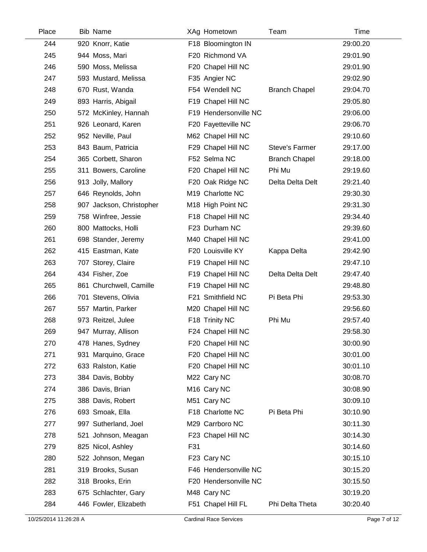| Place | <b>Bib Name</b>          |     | XAg Hometown            | Team                  | <b>Time</b> |  |
|-------|--------------------------|-----|-------------------------|-----------------------|-------------|--|
| 244   | 920 Knorr, Katie         |     | F18 Bloomington IN      |                       | 29:00.20    |  |
| 245   | 944 Moss, Mari           |     | F20 Richmond VA         |                       | 29:01.90    |  |
| 246   | 590 Moss, Melissa        |     | F20 Chapel Hill NC      |                       | 29:01.90    |  |
| 247   | 593 Mustard, Melissa     |     | F35 Angier NC           |                       | 29:02.90    |  |
| 248   | 670 Rust, Wanda          |     | F54 Wendell NC          | <b>Branch Chapel</b>  | 29:04.70    |  |
| 249   | 893 Harris, Abigail      |     | F19 Chapel Hill NC      |                       | 29:05.80    |  |
| 250   | 572 McKinley, Hannah     |     | F19 Hendersonville NC   |                       | 29:06.00    |  |
| 251   | 926 Leonard, Karen       |     | F20 Fayetteville NC     |                       | 29:06.70    |  |
| 252   | 952 Neville, Paul        |     | M62 Chapel Hill NC      |                       | 29:10.60    |  |
| 253   | 843 Baum, Patricia       |     | F29 Chapel Hill NC      | <b>Steve's Farmer</b> | 29:17.00    |  |
| 254   | 365 Corbett, Sharon      |     | F52 Selma NC            | <b>Branch Chapel</b>  | 29:18.00    |  |
| 255   | 311 Bowers, Caroline     |     | F20 Chapel Hill NC      | Phi Mu                | 29:19.60    |  |
| 256   | 913 Jolly, Mallory       |     | F20 Oak Ridge NC        | Delta Delta Delt      | 29:21.40    |  |
| 257   | 646 Reynolds, John       |     | M19 Charlotte NC        |                       | 29:30.30    |  |
| 258   | 907 Jackson, Christopher |     | M18 High Point NC       |                       | 29:31.30    |  |
| 259   | 758 Winfree, Jessie      |     | F18 Chapel Hill NC      |                       | 29:34.40    |  |
| 260   | 800 Mattocks, Holli      |     | F23 Durham NC           |                       | 29:39.60    |  |
| 261   | 698 Stander, Jeremy      |     | M40 Chapel Hill NC      |                       | 29:41.00    |  |
| 262   | 415 Eastman, Kate        |     | F20 Louisville KY       | Kappa Delta           | 29:42.90    |  |
| 263   | 707 Storey, Claire       |     | F19 Chapel Hill NC      |                       | 29:47.10    |  |
| 264   | 434 Fisher, Zoe          |     | F19 Chapel Hill NC      | Delta Delta Delt      | 29:47.40    |  |
| 265   | 861 Churchwell, Camille  |     | F19 Chapel Hill NC      |                       | 29:48.80    |  |
| 266   | 701 Stevens, Olivia      |     | F21 Smithfield NC       | Pi Beta Phi           | 29:53.30    |  |
| 267   | 557 Martin, Parker       |     | M20 Chapel Hill NC      |                       | 29:56.60    |  |
| 268   | 973 Reitzel, Julee       |     | F18 Trinity NC          | Phi Mu                | 29:57.40    |  |
| 269   | 947 Murray, Allison      |     | F24 Chapel Hill NC      |                       | 29:58.30    |  |
| 270   | 478 Hanes, Sydney        |     | F20 Chapel Hill NC      |                       | 30:00.90    |  |
| 271   | 931 Marquino, Grace      |     | F20 Chapel Hill NC      |                       | 30:01.00    |  |
| 272   | 633 Ralston, Katie       |     | F20 Chapel Hill NC      |                       | 30:01.10    |  |
| 273   | 384 Davis, Bobby         |     | M22 Cary NC             |                       | 30:08.70    |  |
| 274   | 386 Davis, Brian         |     | M <sub>16</sub> Cary NC |                       | 30:08.90    |  |
| 275   | 388 Davis, Robert        |     | M51 Cary NC             |                       | 30:09.10    |  |
| 276   | 693 Smoak, Ella          |     | F18 Charlotte NC        | Pi Beta Phi           | 30:10.90    |  |
| 277   | 997 Sutherland, Joel     |     | M29 Carrboro NC         |                       | 30:11.30    |  |
| 278   | 521 Johnson, Meagan      |     | F23 Chapel Hill NC      |                       | 30:14.30    |  |
| 279   | 825 Nicol, Ashley        | F31 |                         |                       | 30:14.60    |  |
| 280   | 522 Johnson, Megan       |     | F23 Cary NC             |                       | 30:15.10    |  |
| 281   | 319 Brooks, Susan        |     | F46 Hendersonville NC   |                       | 30:15.20    |  |
| 282   | 318 Brooks, Erin         |     | F20 Hendersonville NC   |                       | 30:15.50    |  |
| 283   | 675 Schlachter, Gary     |     | M48 Cary NC             |                       | 30:19.20    |  |
| 284   | 446 Fowler, Elizabeth    |     | F51 Chapel Hill FL      | Phi Delta Theta       | 30:20.40    |  |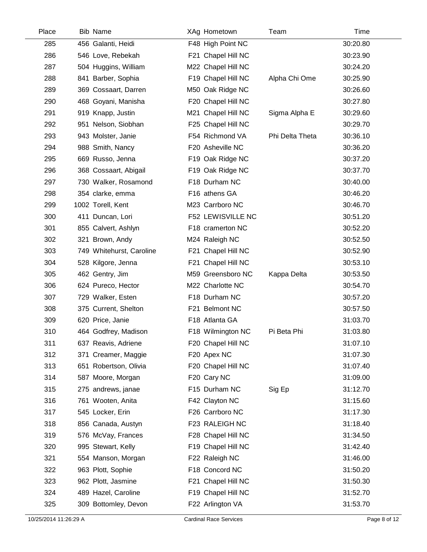| Place | <b>Bib Name</b>          | XAg Hometown       | Team            | Time     |  |
|-------|--------------------------|--------------------|-----------------|----------|--|
| 285   | 456 Galanti, Heidi       | F48 High Point NC  |                 | 30:20.80 |  |
| 286   | 546 Love, Rebekah        | F21 Chapel Hill NC |                 | 30:23.90 |  |
| 287   | 504 Huggins, William     | M22 Chapel Hill NC |                 | 30:24.20 |  |
| 288   | 841 Barber, Sophia       | F19 Chapel Hill NC | Alpha Chi Ome   | 30:25.90 |  |
| 289   | 369 Cossaart, Darren     | M50 Oak Ridge NC   |                 | 30:26.60 |  |
| 290   | 468 Goyani, Manisha      | F20 Chapel Hill NC |                 | 30:27.80 |  |
| 291   | 919 Knapp, Justin        | M21 Chapel Hill NC | Sigma Alpha E   | 30:29.60 |  |
| 292   | 951 Nelson, Siobhan      | F25 Chapel Hill NC |                 | 30:29.70 |  |
| 293   | 943 Molster, Janie       | F54 Richmond VA    | Phi Delta Theta | 30:36.10 |  |
| 294   | 988 Smith, Nancy         | F20 Asheville NC   |                 | 30:36.20 |  |
| 295   | 669 Russo, Jenna         | F19 Oak Ridge NC   |                 | 30:37.20 |  |
| 296   | 368 Cossaart, Abigail    | F19 Oak Ridge NC   |                 | 30:37.70 |  |
| 297   | 730 Walker, Rosamond     | F18 Durham NC      |                 | 30:40.00 |  |
| 298   | 354 clarke, emma         | F16 athens GA      |                 | 30:46.20 |  |
| 299   | 1002 Torell, Kent        | M23 Carrboro NC    |                 | 30:46.70 |  |
| 300   | 411 Duncan, Lori         | F52 LEWISVILLE NC  |                 | 30:51.20 |  |
| 301   | 855 Calvert, Ashlyn      | F18 cramerton NC   |                 | 30:52.20 |  |
| 302   | 321 Brown, Andy          | M24 Raleigh NC     |                 | 30:52.50 |  |
| 303   | 749 Whitehurst, Caroline | F21 Chapel Hill NC |                 | 30:52.90 |  |
| 304   | 528 Kilgore, Jenna       | F21 Chapel Hill NC |                 | 30:53.10 |  |
| 305   | 462 Gentry, Jim          | M59 Greensboro NC  | Kappa Delta     | 30:53.50 |  |
| 306   | 624 Pureco, Hector       | M22 Charlotte NC   |                 | 30:54.70 |  |
| 307   | 729 Walker, Esten        | F18 Durham NC      |                 | 30:57.20 |  |
| 308   | 375 Current, Shelton     | F21 Belmont NC     |                 | 30:57.50 |  |
| 309   | 620 Price, Janie         | F18 Atlanta GA     |                 | 31:03.70 |  |
| 310   | 464 Godfrey, Madison     | F18 Wilmington NC  | Pi Beta Phi     | 31:03.80 |  |
| 311   | 637 Reavis, Adriene      | F20 Chapel Hill NC |                 | 31:07.10 |  |
| 312   | 371 Creamer, Maggie      | F20 Apex NC        |                 | 31:07.30 |  |
| 313   | 651 Robertson, Olivia    | F20 Chapel Hill NC |                 | 31:07.40 |  |
| 314   | 587 Moore, Morgan        | F20 Cary NC        |                 | 31:09.00 |  |
| 315   | 275 andrews, janae       | F15 Durham NC      | Sig Ep          | 31:12.70 |  |
| 316   | 761 Wooten, Anita        | F42 Clayton NC     |                 | 31:15.60 |  |
| 317   | 545 Locker, Erin         | F26 Carrboro NC    |                 | 31:17.30 |  |
| 318   | 856 Canada, Austyn       | F23 RALEIGH NC     |                 | 31:18.40 |  |
| 319   | 576 McVay, Frances       | F28 Chapel Hill NC |                 | 31:34.50 |  |
| 320   | 995 Stewart, Kelly       | F19 Chapel Hill NC |                 | 31:42.40 |  |
| 321   | 554 Manson, Morgan       | F22 Raleigh NC     |                 | 31:46.00 |  |
| 322   | 963 Plott, Sophie        | F18 Concord NC     |                 | 31:50.20 |  |
| 323   | 962 Plott, Jasmine       | F21 Chapel Hill NC |                 | 31:50.30 |  |
| 324   | 489 Hazel, Caroline      | F19 Chapel Hill NC |                 | 31:52.70 |  |
| 325   | 309 Bottomley, Devon     | F22 Arlington VA   |                 | 31:53.70 |  |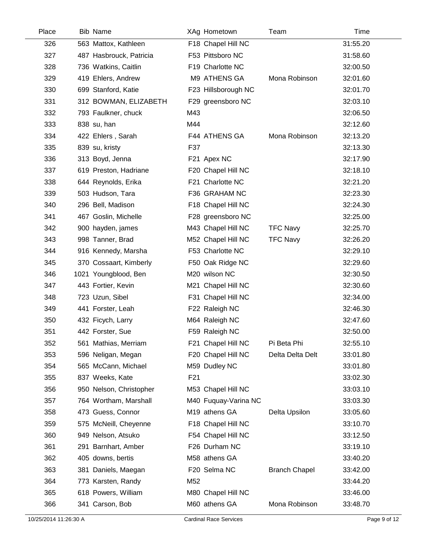| Place | <b>Bib Name</b>         | XAg Hometown         | Team                 | Time     |
|-------|-------------------------|----------------------|----------------------|----------|
| 326   | 563 Mattox, Kathleen    | F18 Chapel Hill NC   |                      | 31:55.20 |
| 327   | 487 Hasbrouck, Patricia | F53 Pittsboro NC     |                      | 31:58.60 |
| 328   | 736 Watkins, Caitlin    | F19 Charlotte NC     |                      | 32:00.50 |
| 329   | 419 Ehlers, Andrew      | M9 ATHENS GA         | Mona Robinson        | 32:01.60 |
| 330   | 699 Stanford, Katie     | F23 Hillsborough NC  |                      | 32:01.70 |
| 331   | 312 BOWMAN, ELIZABETH   | F29 greensboro NC    |                      | 32:03.10 |
| 332   | 793 Faulkner, chuck     | M43                  |                      | 32:06.50 |
| 333   | 838 su, han             | M44                  |                      | 32:12.60 |
| 334   | 422 Ehlers, Sarah       | F44 ATHENS GA        | Mona Robinson        | 32:13.20 |
| 335   | 839 su, kristy          | F37                  |                      | 32:13.30 |
| 336   | 313 Boyd, Jenna         | F21 Apex NC          |                      | 32:17.90 |
| 337   | 619 Preston, Hadriane   | F20 Chapel Hill NC   |                      | 32:18.10 |
| 338   | 644 Reynolds, Erika     | F21 Charlotte NC     |                      | 32:21.20 |
| 339   | 503 Hudson, Tara        | F36 GRAHAM NC        |                      | 32:23.30 |
| 340   | 296 Bell, Madison       | F18 Chapel Hill NC   |                      | 32:24.30 |
| 341   | 467 Goslin, Michelle    | F28 greensboro NC    |                      | 32:25.00 |
| 342   | 900 hayden, james       | M43 Chapel Hill NC   | <b>TFC Navy</b>      | 32:25.70 |
| 343   | 998 Tanner, Brad        | M52 Chapel Hill NC   | <b>TFC Navy</b>      | 32:26.20 |
| 344   | 916 Kennedy, Marsha     | F53 Charlotte NC     |                      | 32:29.10 |
| 345   | 370 Cossaart, Kimberly  | F50 Oak Ridge NC     |                      | 32:29.60 |
| 346   | 1021 Youngblood, Ben    | M20 wilson NC        |                      | 32:30.50 |
| 347   | 443 Fortier, Kevin      | M21 Chapel Hill NC   |                      | 32:30.60 |
| 348   | 723 Uzun, Sibel         | F31 Chapel Hill NC   |                      | 32:34.00 |
| 349   | 441 Forster, Leah       | F22 Raleigh NC       |                      | 32:46.30 |
| 350   | 432 Ficych, Larry       | M64 Raleigh NC       |                      | 32:47.60 |
| 351   | 442 Forster, Sue        | F59 Raleigh NC       |                      | 32:50.00 |
| 352   | 561 Mathias, Merriam    | F21 Chapel Hill NC   | Pi Beta Phi          | 32:55.10 |
| 353   | 596 Neligan, Megan      | F20 Chapel Hill NC   | Delta Delta Delt     | 33:01.80 |
| 354   | 565 McCann, Michael     | M59 Dudley NC        |                      | 33:01.80 |
| 355   | 837 Weeks, Kate         | F <sub>21</sub>      |                      | 33:02.30 |
| 356   | 950 Nelson, Christopher | M53 Chapel Hill NC   |                      | 33:03.10 |
| 357   | 764 Wortham, Marshall   | M40 Fuquay-Varina NC |                      | 33:03.30 |
| 358   | 473 Guess, Connor       | M19 athens GA        | Delta Upsilon        | 33:05.60 |
| 359   | 575 McNeill, Cheyenne   | F18 Chapel Hill NC   |                      | 33:10.70 |
| 360   | 949 Nelson, Atsuko      | F54 Chapel Hill NC   |                      | 33:12.50 |
| 361   | 291 Barnhart, Amber     | F26 Durham NC        |                      | 33:19.10 |
| 362   | 405 downs, bertis       | M58 athens GA        |                      | 33:40.20 |
| 363   | 381 Daniels, Maegan     | F20 Selma NC         | <b>Branch Chapel</b> | 33:42.00 |
| 364   | 773 Karsten, Randy      | M52                  |                      | 33:44.20 |
| 365   | 618 Powers, William     | M80 Chapel Hill NC   |                      | 33:46.00 |
| 366   | 341 Carson, Bob         | M60 athens GA        | Mona Robinson        | 33:48.70 |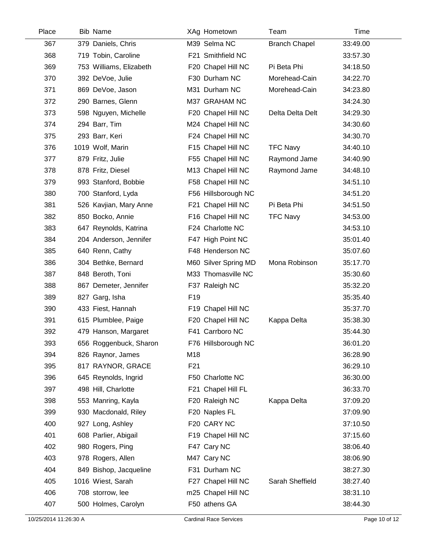| Place | <b>Bib Name</b>         |                 | XAg Hometown         | Team                 | Time     |  |
|-------|-------------------------|-----------------|----------------------|----------------------|----------|--|
| 367   | 379 Daniels, Chris      |                 | M39 Selma NC         | <b>Branch Chapel</b> | 33:49.00 |  |
| 368   | 719 Tobin, Caroline     |                 | F21 Smithfield NC    |                      | 33:57.30 |  |
| 369   | 753 Williams, Elizabeth |                 | F20 Chapel Hill NC   | Pi Beta Phi          | 34:18.50 |  |
| 370   | 392 DeVoe, Julie        |                 | F30 Durham NC        | Morehead-Cain        | 34:22.70 |  |
| 371   | 869 DeVoe, Jason        |                 | M31 Durham NC        | Morehead-Cain        | 34:23.80 |  |
| 372   | 290 Barnes, Glenn       |                 | M37 GRAHAM NC        |                      | 34:24.30 |  |
| 373   | 598 Nguyen, Michelle    |                 | F20 Chapel Hill NC   | Delta Delta Delt     | 34:29.30 |  |
| 374   | 294 Barr, Tim           |                 | M24 Chapel Hill NC   |                      | 34:30.60 |  |
| 375   | 293 Barr, Keri          |                 | F24 Chapel Hill NC   |                      | 34:30.70 |  |
| 376   | 1019 Wolf, Marin        |                 | F15 Chapel Hill NC   | <b>TFC Navy</b>      | 34:40.10 |  |
| 377   | 879 Fritz, Julie        |                 | F55 Chapel Hill NC   | Raymond Jame         | 34:40.90 |  |
| 378   | 878 Fritz, Diesel       |                 | M13 Chapel Hill NC   | Raymond Jame         | 34:48.10 |  |
| 379   | 993 Stanford, Bobbie    |                 | F58 Chapel Hill NC   |                      | 34:51.10 |  |
| 380   | 700 Stanford, Lyda      |                 | F56 Hillsborough NC  |                      | 34:51.20 |  |
| 381   | 526 Kavjian, Mary Anne  |                 | F21 Chapel Hill NC   | Pi Beta Phi          | 34:51.50 |  |
| 382   | 850 Bocko, Annie        |                 | F16 Chapel Hill NC   | <b>TFC Navy</b>      | 34:53.00 |  |
| 383   | 647 Reynolds, Katrina   |                 | F24 Charlotte NC     |                      | 34:53.10 |  |
| 384   | 204 Anderson, Jennifer  |                 | F47 High Point NC    |                      | 35:01.40 |  |
| 385   | 640 Renn, Cathy         |                 | F48 Henderson NC     |                      | 35:07.60 |  |
| 386   | 304 Bethke, Bernard     |                 | M60 Silver Spring MD | Mona Robinson        | 35:17.70 |  |
| 387   | 848 Beroth, Toni        |                 | M33 Thomasville NC   |                      | 35:30.60 |  |
| 388   | 867 Demeter, Jennifer   |                 | F37 Raleigh NC       |                      | 35:32.20 |  |
| 389   | 827 Garg, Isha          | F <sub>19</sub> |                      |                      | 35:35.40 |  |
| 390   | 433 Fiest, Hannah       |                 | F19 Chapel Hill NC   |                      | 35:37.70 |  |
| 391   | 615 Plumblee, Paige     |                 | F20 Chapel Hill NC   | Kappa Delta          | 35:38.30 |  |
| 392   | 479 Hanson, Margaret    |                 | F41 Carrboro NC      |                      | 35:44.30 |  |
| 393   | 656 Roggenbuck, Sharon  |                 | F76 Hillsborough NC  |                      | 36:01.20 |  |
| 394   | 826 Raynor, James       | M18             |                      |                      | 36:28.90 |  |
| 395   | 817 RAYNOR, GRACE       | F <sub>21</sub> |                      |                      | 36:29.10 |  |
| 396   | 645 Reynolds, Ingrid    |                 | F50 Charlotte NC     |                      | 36:30.00 |  |
| 397   | 498 Hill, Charlotte     |                 | F21 Chapel Hill FL   |                      | 36:33.70 |  |
| 398   | 553 Manring, Kayla      |                 | F20 Raleigh NC       | Kappa Delta          | 37:09.20 |  |
| 399   | 930 Macdonald, Riley    |                 | F20 Naples FL        |                      | 37:09.90 |  |
| 400   | 927 Long, Ashley        |                 | F20 CARY NC          |                      | 37:10.50 |  |
| 401   | 608 Parlier, Abigail    |                 | F19 Chapel Hill NC   |                      | 37:15.60 |  |
| 402   | 980 Rogers, Ping        |                 | F47 Cary NC          |                      | 38:06.40 |  |
| 403   | 978 Rogers, Allen       |                 | M47 Cary NC          |                      | 38:06.90 |  |
| 404   | 849 Bishop, Jacqueline  |                 | F31 Durham NC        |                      | 38:27.30 |  |
| 405   | 1016 Wiest, Sarah       |                 | F27 Chapel Hill NC   | Sarah Sheffield      | 38:27.40 |  |
| 406   | 708 storrow, lee        |                 | m25 Chapel Hill NC   |                      | 38:31.10 |  |
| 407   | 500 Holmes, Carolyn     |                 | F50 athens GA        |                      | 38:44.30 |  |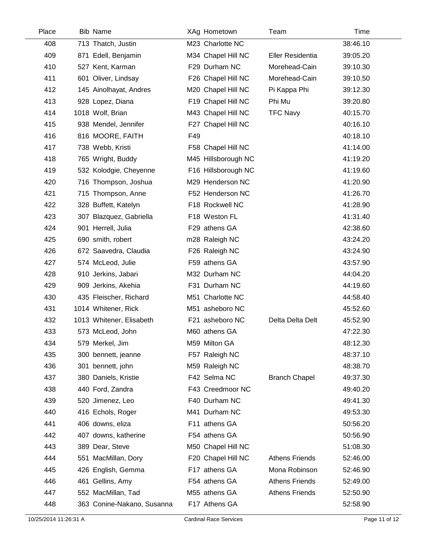| Place | <b>Bib Name</b>            |     | XAg Hometown        | Team                  | Time     |  |
|-------|----------------------------|-----|---------------------|-----------------------|----------|--|
| 408   | 713 Thatch, Justin         |     | M23 Charlotte NC    |                       | 38:46.10 |  |
| 409   | 871 Edell, Benjamin        |     | M34 Chapel Hill NC  | Eller Residentia      | 39:05.20 |  |
| 410   | 527 Kent, Karman           |     | F29 Durham NC       | Morehead-Cain         | 39:10.30 |  |
| 411   | 601 Oliver, Lindsay        |     | F26 Chapel Hill NC  | Morehead-Cain         | 39:10.50 |  |
| 412   | 145 Ainolhayat, Andres     |     | M20 Chapel Hill NC  | Pi Kappa Phi          | 39:12.30 |  |
| 413   | 928 Lopez, Diana           |     | F19 Chapel Hill NC  | Phi Mu                | 39:20.80 |  |
| 414   | 1018 Wolf, Brian           |     | M43 Chapel Hill NC  | <b>TFC Navy</b>       | 40:15.70 |  |
| 415   | 938 Mendel, Jennifer       |     | F27 Chapel Hill NC  |                       | 40:16.10 |  |
| 416   | 816 MOORE, FAITH           | F49 |                     |                       | 40:18.10 |  |
| 417   | 738 Webb, Kristi           |     | F58 Chapel Hill NC  |                       | 41:14.00 |  |
| 418   | 765 Wright, Buddy          |     | M45 Hillsborough NC |                       | 41:19.20 |  |
| 419   | 532 Kolodgie, Cheyenne     |     | F16 Hillsborough NC |                       | 41:19.60 |  |
| 420   | 716 Thompson, Joshua       |     | M29 Henderson NC    |                       | 41:20.90 |  |
| 421   | 715 Thompson, Anne         |     | F52 Henderson NC    |                       | 41:26.70 |  |
| 422   | 328 Buffett, Katelyn       |     | F18 Rockwell NC     |                       | 41:28.90 |  |
| 423   | 307 Blazquez, Gabriella    |     | F18 Weston FL       |                       | 41:31.40 |  |
| 424   | 901 Herrell, Julia         |     | F29 athens GA       |                       | 42:38.60 |  |
| 425   | 690 smith, robert          |     | m28 Raleigh NC      |                       | 43:24.20 |  |
| 426   | 672 Saavedra, Claudia      |     | F26 Raleigh NC      |                       | 43:24.90 |  |
| 427   | 574 McLeod, Julie          |     | F59 athens GA       |                       | 43:57.90 |  |
| 428   | 910 Jerkins, Jabari        |     | M32 Durham NC       |                       | 44:04.20 |  |
| 429   | 909 Jerkins, Akehia        |     | F31 Durham NC       |                       | 44:19.60 |  |
| 430   | 435 Fleischer, Richard     |     | M51 Charlotte NC    |                       | 44:58.40 |  |
| 431   | 1014 Whitener, Rick        |     | M51 asheboro NC     |                       | 45:52.60 |  |
| 432   | 1013 Whitener, Elisabeth   |     | F21 asheboro NC     | Delta Delta Delt      | 45:52.90 |  |
| 433   | 573 McLeod, John           |     | M60 athens GA       |                       | 47:22.30 |  |
| 434   | 579 Merkel, Jim            |     | M59 Milton GA       |                       | 48:12.30 |  |
| 435   | 300 bennett, jeanne        |     | F57 Raleigh NC      |                       | 48:37.10 |  |
| 436   | 301 bennett, john          |     | M59 Raleigh NC      |                       | 48:38.70 |  |
| 437   | 380 Daniels, Kristie       |     | F42 Selma NC        | <b>Branch Chapel</b>  | 49:37.30 |  |
| 438   | 440 Ford, Zandra           |     | F43 Creedmoor NC    |                       | 49:40.20 |  |
| 439   | 520 Jimenez, Leo           |     | F40 Durham NC       |                       | 49:41.30 |  |
| 440   | 416 Echols, Roger          |     | M41 Durham NC       |                       | 49:53.30 |  |
| 441   | 406 downs, eliza           |     | F11 athens GA       |                       | 50:56.20 |  |
| 442   | 407 downs, katherine       |     | F54 athens GA       |                       | 50:56.90 |  |
| 443   | 389 Dear, Steve            |     | M50 Chapel Hill NC  |                       | 51:08.30 |  |
| 444   | 551 MacMillan, Dory        |     | F20 Chapel Hill NC  | <b>Athens Friends</b> | 52:46.00 |  |
| 445   | 426 English, Gemma         |     | F17 athens GA       | Mona Robinson         | 52:46.90 |  |
| 446   | 461 Gellins, Amy           |     | F54 athens GA       | <b>Athens Friends</b> | 52:49.00 |  |
| 447   | 552 MacMillan, Tad         |     | M55 athens GA       | <b>Athens Friends</b> | 52:50.90 |  |
| 448   | 363 Conine-Nakano, Susanna |     | F17 Athens GA       |                       | 52:58.90 |  |